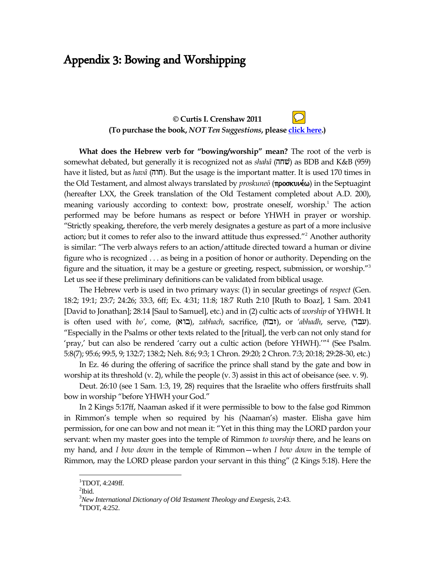## Appendix 3: Bowing and Worshipping

## **© Curtis I. Crenshaw 2011 (To purchase the book,** *NOT Ten Suggestions***, please [click here.](http://www.footstoolpublications.com/AdPages/NotTenSuggestions.htm))**

**What does the Hebrew verb for "bowing/worship" mean?** The root of the verb is somewhat debated, but generally it is recognized not as *shahâ* (hjv) as BDB and K&B (959) have it listed, but as *havâ* (חוה). But the usage is the important matter. It is used 170 times in the Old Testament, and almost always translated by *proskune*<sub>σ</sub> (προσκυνέω) in the Septuagint (hereafter LXX, the Greek translation of the Old Testament completed about A.D. 200), meaning variously according to context: bow, prostrate oneself, worship.<sup>1</sup> The action performed may be before humans as respect or before YHWH in prayer or worship. "Strictly speaking, therefore, the verb merely designates a gesture as part of a more inclusive action; but it comes to refer also to the inward attitude thus expressed."<sup>2</sup> Another authority is similar: "The verb always refers to an action/attitude directed toward a human or divine figure who is recognized . . . as being in a position of honor or authority. Depending on the figure and the situation, it may be a gesture or greeting, respect, submission, or worship."<sup>3</sup> Let us see if these preliminary definitions can be validated from biblical usage.

The Hebrew verb is used in two primary ways: (1) in secular greetings of *respect* (Gen. 18:2; 19:1; 23:7; 24:26; 33:3, 6ff; Ex. 4:31; 11:8; 18:7 Ruth 2:10 [Ruth to Boaz], 1 Sam. 20:41 [David to Jonathan]; 28:14 [Saul to Samuel], etc.) and in (2) cultic acts of *worship* of YHWH. It is often used with *bo'*, come, (**בו'א)**, *zabhach*, sacrifice, (זבה), or *'abhadh*, serve, (עבר). "Especially in the Psalms or other texts related to the [ritual], the verb can not only stand for 'pray,' but can also be rendered 'carry out a cultic action (before YHWH)."<sup>4</sup> (See Psalm. 5:8(7); 95:6; 99:5, 9; 132:7; 138:2; Neh. 8:6; 9:3; 1 Chron. 29:20; 2 Chron. 7:3; 20:18; 29:28-30, etc.)

In Ez. 46 during the offering of sacrifice the prince shall stand by the gate and bow in worship at its threshold (v. 2), while the people (v. 3) assist in this act of obeisance (see. v. 9).

Deut. 26:10 (see 1 Sam. 1:3, 19, 28) requires that the Israelite who offers firstfruits shall bow in worship "before YHWH your God."

In 2 Kings 5:17ff, Naaman asked if it were permissible to bow to the false god Rimmon in Rimmon's temple when so required by his (Naaman's) master. Elisha gave him permission, for one can bow and not mean it: "Yet in this thing may the LORD pardon your servant: when my master goes into the temple of Rimmon *to worship* there, and he leans on my hand, and *I bow down* in the temple of Rimmon—when *I bow down* in the temple of Rimmon, may the LORD please pardon your servant in this thing" (2 Kings 5:18). Here the

 $\overline{a}$ 

 ${}^{1}$ TDOT, 4:249ff.

 $\mathrm{^{2}Ibid.}$ 

<sup>3</sup>*New International Dictionary of Old Testament Theology and Exegesis*, 2:43.

<sup>4</sup>TDOT, 4:252.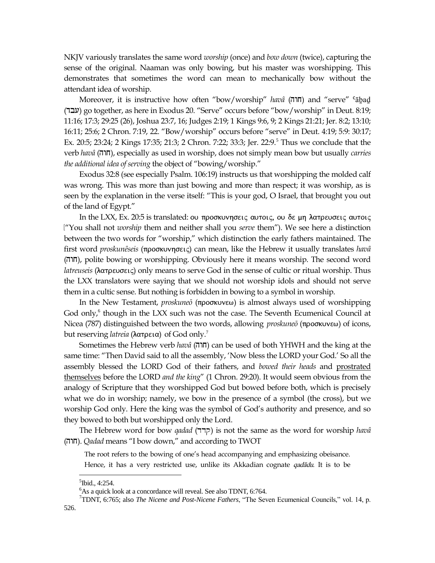NKJV variously translates the same word *worship* (once) and *bow down* (twice), capturing the sense of the original. Naaman was only bowing, but his master was worshipping. This demonstrates that sometimes the word can mean to mechanically bow without the attendant idea of worship.

Moreover, it is instructive how often "bow/worship" *havâ* (חוה) and "serve" <sup>c</sup>ābad עבר) go together, as here in Exodus 20. "Serve" occurs before "bow/worship" in Deut.  $8:19$ ; 11:16; 17:3; 29:25 (26), Joshua 23:7, 16; Judges 2:19; 1 Kings 9:6, 9; 2 Kings 21:21; Jer. 8:2; 13:10; 16:11; 25:6; 2 Chron. 7:19, 22. "Bow/worship" occurs before "serve" in Deut. 4:19; 5:9: 30:17; Ex. 20:5; 23:24; 2 Kings 17:35; 21:3; 2 Chron. 7:22; 33:3; Jer. 22:9.<sup>5</sup> Thus we conclude that the verb *havâ* (hwj), especially as used in worship, does not simply mean bow but usually *carries the additional idea of serving* the object of "bowing/worship."

Exodus 32:8 (see especially Psalm. 106:19) instructs us that worshipping the molded calf was wrong. This was more than just bowing and more than respect; it was worship, as is seen by the explanation in the verse itself: "This is your god, O Israel, that brought you out of the land of Egypt."

In the LXX, Ex. 20:5 is translated: ου προσκυνησεις αυτοις, ου δε μη λατρευσεις αυτοις ("You shall not *worship* them and neither shall you *serve* them"). We see here a distinction between the two words for "worship," which distinction the early fathers maintained. The first word *proskunêseis* (proskunhsei) can mean, like the Hebrew it usually translates *havâ* (hwj), polite bowing or worshipping. Obviously here it means worship. The second word *latreuseis* (λατρευσεις) only means to serve God in the sense of cultic or ritual worship. Thus the LXX translators were saying that we should not worship idols and should not serve them in a cultic sense. But nothing is forbidden in bowing to a symbol in worship.

In the New Testament, *proskune*<sup> $ō$ </sup> (προσκυνεω) is almost always used of worshipping God only,<sup>6</sup> though in the LXX such was not the case. The Seventh Ecumenical Council at Nicea (787) distinguished between the two words, allowing *proskune*ō (προσκυνεω) of icons, but reserving *latreia* (λατρεια) of God only.<sup>7</sup>

Sometimes the Hebrew verb *havâ* (hwj) can be used of both YHWH and the king at the same time: "Then David said to all the assembly, 'Now bless the LORD your God.' So all the assembly blessed the LORD God of their fathers, and *bowed their heads* and prostrated themselves before the LORD *and the king*" (1 Chron. 29:20). It would seem obvious from the analogy of Scripture that they worshipped God but bowed before both, which is precisely what we do in worship; namely, we bow in the presence of a symbol (the cross), but we worship God only. Here the king was the symbol of God"s authority and presence, and so they bowed to both but worshipped only the Lord.

The Hebrew word for bow *qadad* (ddq) is not the same as the word for worship *havâ* (hwj). *Qadad* means "I bow down," and according to TWOT

The root refers to the bowing of one"s head accompanying and emphasizing obeisance. Hence, it has a very restricted use, unlike its Akkadian cognate *qadadu*. It is to be

 $\overline{a}$ 

<sup>&</sup>lt;sup>5</sup>Ibid., 4:254.

 $6$ As a quick look at a concordance will reveal. See also TDNT, 6:764.

<sup>7</sup>TDNT, 6:765; also *The Nicene and Post-Nicene Fathers*, "The Seven Ecumenical Councils," vol. 14, p.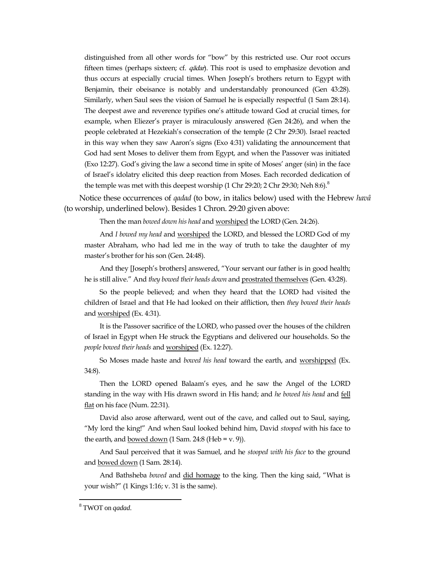distinguished from all other words for "bow" by this restricted use. Our root occurs fifteen times (perhaps sixteen; cf.  $q\bar{q}$ dar). This root is used to emphasize devotion and thus occurs at especially crucial times. When Joseph"s brothers return to Egypt with Benjamin, their obeisance is notably and understandably pronounced (Gen 43:28). Similarly, when Saul sees the vision of Samuel he is especially respectful (1 Sam 28:14). The deepest awe and reverence typifies one"s attitude toward God at crucial times, for example, when Eliezer"s prayer is miraculously answered (Gen 24:26), and when the people celebrated at Hezekiah"s consecration of the temple (2 Chr 29:30). Israel reacted in this way when they saw Aaron"s signs (Exo 4:31) validating the announcement that God had sent Moses to deliver them from Egypt, and when the Passover was initiated (Exo 12:27). God"s giving the law a second time in spite of Moses" anger (sin) in the face of Israel"s idolatry elicited this deep reaction from Moses. Each recorded dedication of the temple was met with this deepest worship  $(1 \text{ Chr } 29:20; 2 \text{ Chr } 29:30; \text{Neh } 8:6)^8$ 

Notice these occurrences of *qadad* (to bow, in italics below) used with the Hebrew *havâ* (to worship, underlined below). Besides 1 Chron. 29:20 given above:

Then the man *bowed down his head* and worshiped the LORD (Gen. 24:26).

And *I bowed my head* and worshiped the LORD, and blessed the LORD God of my master Abraham, who had led me in the way of truth to take the daughter of my master"s brother for his son (Gen. 24:48).

And they [Joseph"s brothers] answered, "Your servant our father is in good health; he is still alive." And *they bowed their heads down* and prostrated themselves (Gen. 43:28).

So the people believed; and when they heard that the LORD had visited the children of Israel and that He had looked on their affliction, then *they bowed their heads* and worshiped (Ex. 4:31).

It is the Passover sacrifice of the LORD, who passed over the houses of the children of Israel in Egypt when He struck the Egyptians and delivered our households. So the *people bowed their heads* and worshiped (Ex. 12:27).

So Moses made haste and *bowed his head* toward the earth, and worshipped (Ex. 34:8).

Then the LORD opened Balaam"s eyes, and he saw the Angel of the LORD standing in the way with His drawn sword in His hand; and *he bowed his head* and fell flat on his face (Num. 22:31).

David also arose afterward, went out of the cave, and called out to Saul, saying, "My lord the king!" And when Saul looked behind him, David *stooped* with his face to the earth, and bowed down  $(1 \text{ Sam. } 24:8 \text{ (Heb = v. } 9)).$ 

And Saul perceived that it was Samuel, and he *stooped with his face* to the ground and bowed down (1 Sam. 28:14).

And Bathsheba *bowed* and did homage to the king. Then the king said, "What is your wish?" (1 Kings 1:16; v. 31 is the same).

 $\overline{a}$ 

<sup>8</sup> TWOT on *qadad*.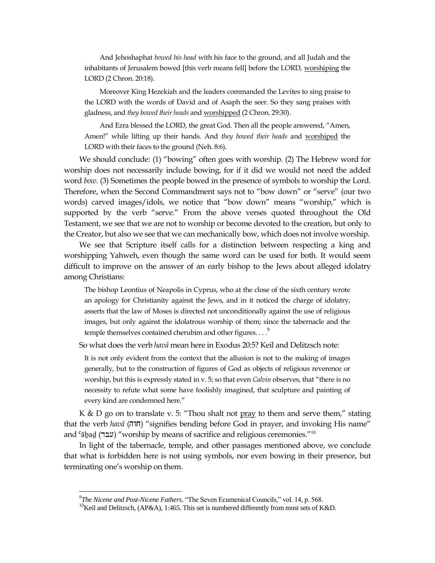And Jehoshaphat *bowed his head* with his face to the ground, and all Judah and the inhabitants of Jerusalem bowed [this verb means fell] before the LORD, worshiping the LORD (2 Chron. 20:18).

Moreover King Hezekiah and the leaders commanded the Levites to sing praise to the LORD with the words of David and of Asaph the seer. So they sang praises with gladness, and *they bowed their heads* and worshipped (2 Chron. 29:30).

And Ezra blessed the LORD, the great God. Then all the people answered, "Amen, Amen!" while lifting up their hands. And *they bowed their heads* and worshiped the LORD with their faces to the ground (Neh. 8:6).

We should conclude: (1) "bowing" often goes with worship. (2) The Hebrew word for worship does not necessarily include bowing, for if it did we would not need the added word *bow*. (3) Sometimes the people bowed in the presence of symbols to worship the Lord. Therefore, when the Second Commandment says not to "bow down" or "serve" (our two words) carved images/idols, we notice that "bow down" means "worship," which is supported by the verb "serve." From the above verses quoted throughout the Old Testament, we see that we are not to worship or become devoted to the creation, but only to the Creator, but also we see that we can mechanically bow, which does not involve worship.

We see that Scripture itself calls for a distinction between respecting a king and worshipping Yahweh, even though the same word can be used for both. It would seem difficult to improve on the answer of an early bishop to the Jews about alleged idolatry among Christians:

The bishop Leontius of Neapolis in Cyprus, who at the close of the sixth century wrote an apology for Christianity against the Jews, and in it noticed the charge of idolatry, asserts that the law of Moses is directed not unconditionally against the use of religious images, but only against the idolatrous worship of them; since the tabernacle and the temple themselves contained cherubim and other figures....<sup>9</sup>

So what does the verb *havâ* mean here in Exodus 20:5? Keil and Delitzsch note:

It is not only evident from the context that the allusion is not to the making of images generally, but to the construction of figures of God as objects of religious reverence or worship, but this is expressly stated in v. 5; so that even *Calvin* observes, that "there is no necessity to refute what some have foolishly imagined, that sculpture and painting of every kind are condemned here."

K & D go on to translate v. 5: "Thou shalt not pray to them and serve them," stating that the verb *havâ* (חוה) "signifies bending before God in prayer, and invoking His name" and 'ābad (עבר) "worship by means of sacrifice and religious ceremonies."<sup>10</sup>

In light of the tabernacle, temple, and other passages mentioned above, we conclude that what is forbidden here is not using symbols, nor even bowing in their presence, but terminating one"s worship on them.

 $\ddot{\phantom{a}}$ 

<sup>9</sup> *The Nicene and Post-Nicene Fathers*, "The Seven Ecumenical Councils," vol. 14, p. 568.

<sup>&</sup>lt;sup>10</sup>Keil and Delitzsch, (AP&A), 1:465. This set is numbered differently from most sets of K&D.